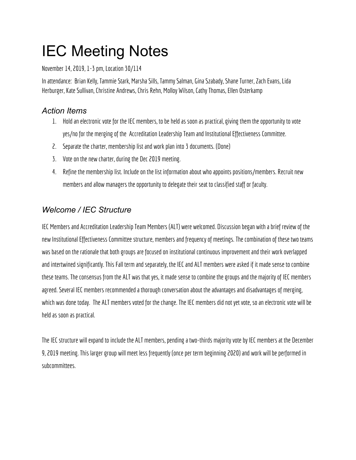# IEC Meeting Notes

November 14, 2019, 1-3 pm, Location 30/114

In attendance: Brian Kelly, Tammie Stark, Marsha Sills, Tammy Salman, Gina Szabady, Shane Turner, Zach Evans, Lida Herburger, Kate Sullivan, Christine Andrews, Chris Rehn, Molloy Wilson, Cathy Thomas, Ellen Osterkamp

# *Action Items*

- 1. Hold an electronic vote for the IEC members, to be held as soon as practical, giving them the opportunity to vote yes/no for the merging of the Accreditation Leadership Team and Institutional Effectiveness Committee.
- 2. Separate the charter, membership list and work planinto 3 documents. (Done)
- 3. Vote on the new charter, during the Dec 2019 meeting.
- 4. Refine the membership list. Include on the list information about who appoints positions/members. Recruit new members and allow managers the opportunity to delegate their seat to classified staff or faculty.

# *Welcome / IEC Structure*

IEC Members and Accreditation Leadership Team Members (ALT) were welcomed. Discussion began with a brief review of the new Institutional Effectiveness Committee structure, members and frequency of meetings. The combination of these two teams was based on the rationale that both groups are focused on institutional continuous improvement and their work overlapped and intertwined significantly. This Fall term and separately, the IEC and ALT members were asked if it made sense to combine these teams. The consensus from the ALT was that yes, it made sense to combine thegroups and the majority of IEC members agreed. Several IEC members recommended a thorough conversation about the advantages and disadvantages of merging, which was done today. The ALT members voted for the change. The IEC members didnot yet vote, so anelectronic vote will be held as soon as practical.

The IEC structure will expand to include the ALT members, pending a two-thirds majority vote by IEC members at the December 9, 2019 meeting. This larger group will meet less frequently (once per term beginning 2020) and work will be performed in subcommittees.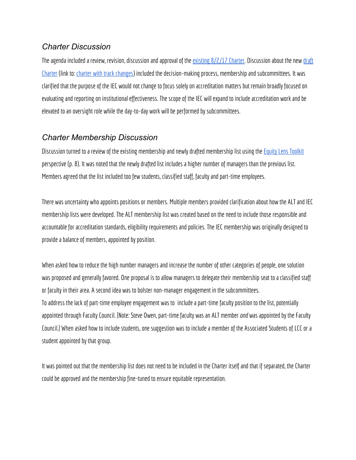#### *Charter Discussion*

The agenda included a review, revision, discussion and approval of the [existing](https://drive.google.com/a/lanecc.edu/file/d/1CPiyeAUMreQn4r95D5E0QKIaOP9lBnMx/view?usp=sharing)  $8/2/17$  Charter. Discussion about the new [draft](https://drive.google.com/open?id=128iKiEq45fiF_dEqtr7xSSjoOikn070CBmjYg6x9EyM) [Charter](https://drive.google.com/open?id=128iKiEq45fiF_dEqtr7xSSjoOikn070CBmjYg6x9EyM) (link to: charter with track changes) included the decision-making process, membership and subcommittees. It was clarified that the purpose of the IEC would not change to focus solely on accreditation matters but remain broadly focused on evaluating and reporting on institutional effectiveness. The scope of the IEC will expand to include accreditation work and be elevated to an oversight role while the day-to-day work will be performed by subcommittees.

#### *Charter Membership Discussion*

Discussion turned to a review of the existing membership and newly drafted membership list using the Equity Lens [Toolkit](https://www.lanecc.edu/sites/default/files/diversity/combined_toolkit_packet.pdf) perspective (p. 8). It was noted that the newly drafted list includes a higher number of managers than the previous list. Members agreed that the list included too few students, classified staff, faculty and part-time employees.

There was uncertainty who appoints positions or members. Multiple members provided clarification about how the ALT and IEC membership lists were developed. The ALT membership list was created based ontheneed to include those responsible and accountable for accreditation standards, eligibility requirements and policies. The IEC membership was originally designed to provide a balance of members, appointed by position.

When asked how to reduce the high number managers and increase the number of other categories of people, one solution was proposed and generally favored. One proposal is to allow managers to delegate their membership seat to a classified staff or faculty in their area. A second idea was to bolster non-manager engagement in the subcommittees. To address the lack of part-time employee engagement was to include a part-time faculty positionto the list, potentially appointed through Faculty Council. [Note: Steve Owen, part-time faculty was an ALT member *and* was appointed by the Faculty Council.] When asked how to include students, one suggestion was to include a member of the Associated Students of LCC or a student appointed by that group.

It was pointed out that the membership list does not need to be included in the Charter itself and that if separated, the Charter could be approved and the membership fine-tuned to ensure equitable representation.